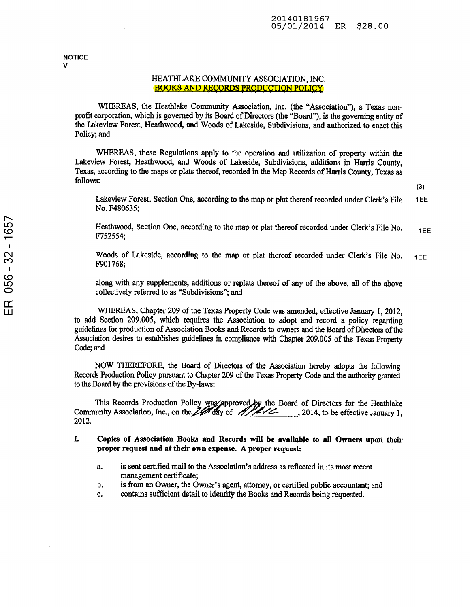**NOTICE** V

## HEATHLAKE COMMUNITY ASSOCIATION, INC. BOOKS AND RECORDS PRODUCTION POLICY

WHEREAS, the Heathlake Community Association, Inc. (the "Association"), <sup>a</sup> Texas non profit corporation, which is governed by its Board of Directors (the "Board"), is the governing entity of the Lakeview Forest, Heathwood, and Woods of Lakeside, Subdivisions, and authorized to enact this Policy; and

WHEREAS, these Regulations apply to the operation and utilization of property within the Lakeview Forest, Heathwood, and Woods of Lakeside, Subdivisions, additions in Harris County, Texas, according to the maps or plats thereof, recorded in the Map Records of Harris County, Texas as follows:

(3)

Lakeview Forest, Section One, according to the map or plat thereof recorded under Clerk's File 1EE No. F480635;

Heathwood, Section One, according to the map or plat thereof recorded under Clerk's File No.  $1E$ F752554;

Woods of Lakeside, according to the map or plat thereof recorded under Clerk's File No. 1EE F901768;

along with any supplements, additions or replats thereof of any of the above, all of the above collectively referred to as "Subdivisions"; and

WHEREAS, Chapter <sup>209</sup> of the Texas Property Code was amended, effective January 1, 2012, to add Section 209.005, which requires the Association to adopt and record <sup>a</sup> policy regarding guidelines for production of Association Books and Records to owners and the Board of Directors of the Association desires to establishes guidelines in compliance with Chapter 209.005 of the Texas Property Code; and

NOW THEREFORE, the Board of Directors of the Association hereby adopts the following Records Production Policy pursuant to Chapter 209 of the Texas Property Code and the authority granted to the Board by the provisions of the By-laws:

This Records Production Policy was approved by the Board of Directors for the Heathlake Community Association, Inc., on the  $Z$  day of  $Z/Z$  1. 3014, to be effective January 1, 2012.

- I. Copies of Association Books and Records will be available to all Owners upon their proper request and at their own expense. A proper request:
	- a. is sent certified mail to the Association's address as reflected in its most recent management certificate;
	- b. is from an Owner, the Owner's agent, attorney, or certified public accountant; and
	- c. contains sufficient detail to identify the Books and Records being requested.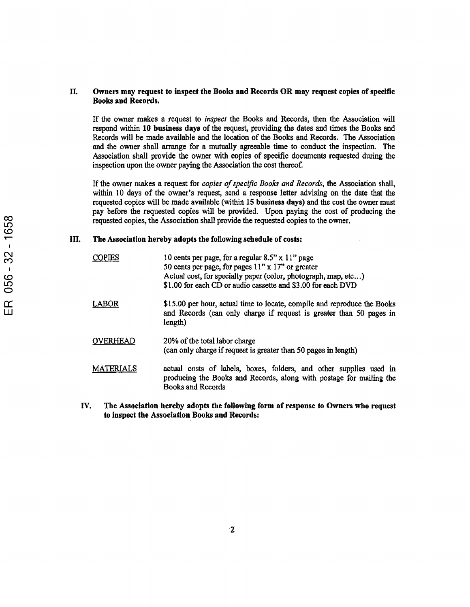## II. Owners may request to inspect the Books and Records OR may request copies of specific Books and Records.

If the owner makes <sup>a</sup> request to inspect the Books and Records, then the Association will respond within 10 business days of the request, providing the dates and times the Books and Records will be made available and the location of the Books and Records. The Association and the owner shall arrange for a mutually agreeable time to conduct the inspection. The Association shall provide the owner with copies of specific documents requested during the inspection upon the owner paying the Association the cost thereof.

If the owner makes a request for *copies of specific Books and Records*, the Association shall, within <sup>10</sup> days of the owner's request, send a response letter advising on the date that the requested copies will be made available (within IS business days) and the cost the owner must pay before die requested copies will be provided. Upon paying the cost of producing the requested copies, the Association shall provide the requested copies to the owner.

## III. The Association hereby adopts the following schedule of costs:

| လ<br>056 | <b>COPIES</b>    | 10 cents per page, for a regular $8.5$ " x 11" page<br>50 cents per page, for pages $11" \times 17"$ or greater<br>Actual cost, for specialty paper (color, photograph, map, etc)<br>\$1.00 for each CD or audio cassette and \$3.00 for each DVD |
|----------|------------------|---------------------------------------------------------------------------------------------------------------------------------------------------------------------------------------------------------------------------------------------------|
| Œ<br>Ш   | LABOR            | \$15.00 per hour, actual time to locate, compile and reproduce the Books<br>and Records (can only charge if request is greater than 50 pages in<br>length)                                                                                        |
|          | <b>OVERHEAD</b>  | 20% of the total labor charge<br>(can only charge if request is greater than 50 pages in length)                                                                                                                                                  |
|          | <b>MATERIALS</b> | actual costs of labels, boxes, folders, and other supplies used in<br>producing the Books and Records, along with postage for mailing the<br><b>Books and Records</b>                                                                             |

IV. The Association hereby adopts the following form of response to Owners who request to inspect the Association Books and Records: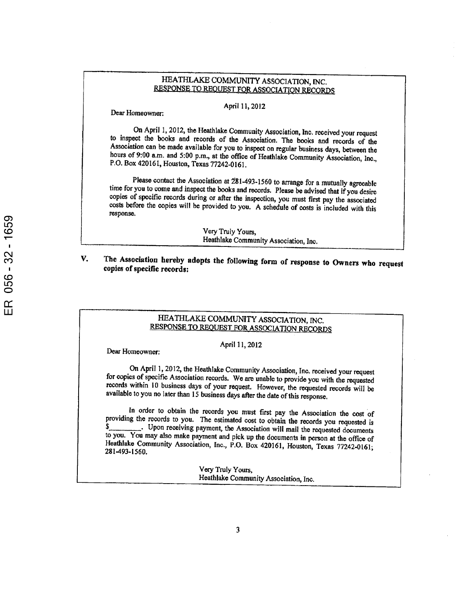# HEATHLAKE COMMUNITY ASSOCIATION, INC. RESPONSE TO REQUEST FOR ASSOCIATION RECORDS

April 11,2012

Dear Homeowner:

On April 1, 2012, the Heathlake Community Association, Inc. received your request to inspect the books and records of the Association. The books and records of the Association can be made available for you to inspect on regular business days, between the hours of 9:00 a.m. and 5:00 p.m., at the office of Heathlake Community Association, Inc., P.O. Box 420161, Houston, Texas 77242-0161.

Please contact the Association at 281-493-1560 to arrange for a mutually agreeable time for you to come and inspect the books and records. Please be advised that if you desire copies of specific records during or after the inspection, you must first pay the associated costs before the copies will be provided to you. <sup>A</sup> schedule of costs is included with this response.

> Very Truly Yours, Heathlake Community Association, Inc.

V. The Association hereby adopts the following form of response to Owners who request copies of specific records:

# HEATHLAKE COMMUNITY ASSOCIATION, INC. RESPONSE TO REQUEST FOR ASSOCIATION RECORDS

April 11, 2012

Dear Homeowner:

On April 1, 2012, the Heathlake Community Association, Inc. received your request for copies of specific Association records. We are unable to provide you with the requested records within <sup>10</sup> business days of your request. However, the requested records will be available to you no later than 15 business days after the date of this response.

In order to obtain the records you must first pay the Association the cost of providing the records to you. The estimated cost to obtain the records you requested is<br>\$ . Upon receiving nayment the Association will mail the nagusted demonstrated . Upon receiving payment, the Association will mail the requested documents to you. You may also make payment and pick up the documents in person at the office of Heathlake Community Association, Inc., P.O. Box 420161, Houston, Texas 77242-0161; 281-493-1560.

> Very Truly Yours, Heathlake Community Association, Inc.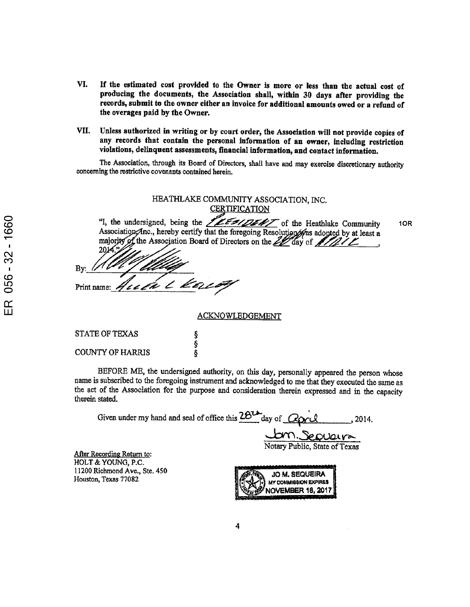- VI. If the estimated cost provided to the Owner is more or less than the actual cost of producing the documents, the Association shall, within <sup>30</sup> days after providing the records, submit to the owner either an invoice for additional amounts owed or <sup>a</sup> refund of the overages paid by the Owner.
- VII. Unless authorized in writing or by court order, the Association will not provide copies of any records that contain the personal information of an owner, including restriction violations, delinquent assessments, financial information, and contact information.

The Association, through its Board of Directors, shall have and may exercise discretionary authority concerning the restrictive covenants contained herein.

| HEATHLAKE COMMUNITY ASSOCIATION, INC.<br><b>CERTIFICATION</b>                                                                |     |
|------------------------------------------------------------------------------------------------------------------------------|-----|
| "I, the undersigned, being the <b>ILESIDENT</b> of the Heathlake Community<br>$2014.$ "<br>Bv:<br>Print name: Heath L Kelloy | 1OR |
| ACKNOWLEDGEMENT                                                                                                              |     |

ACKNOWLEDGEMENT

| STATE OF TEXAS   |        |
|------------------|--------|
| COUNTY OF HARRIS | Ş<br>Ş |
|                  |        |

BEFORE ME, the undersigned authority, on this day, personally appeared the person whose name is subscribed to the foregoing instrument and acknowledged to me that they executed the same as the act of the Association for the purpose and consideration therein expressed and in the capacity therein stated.

Given under my hand and seal of office this  $\frac{28\mu}{\mu}$ day of  $\frac{1}{\mu}$  $\frac{2014}{\mu}$ , 2014.

-btro.,3ec>OQAvr»- Notary Public, State of Texas

After Recording Return to: HOLT & YOUNG, P.C. 1 1200 Richmond Ave., Ste. 450 Houston, Texas 77082

JO M. SEQUEIRA MV COMMISSION EXPIRES NOVEMBER 18, 2017